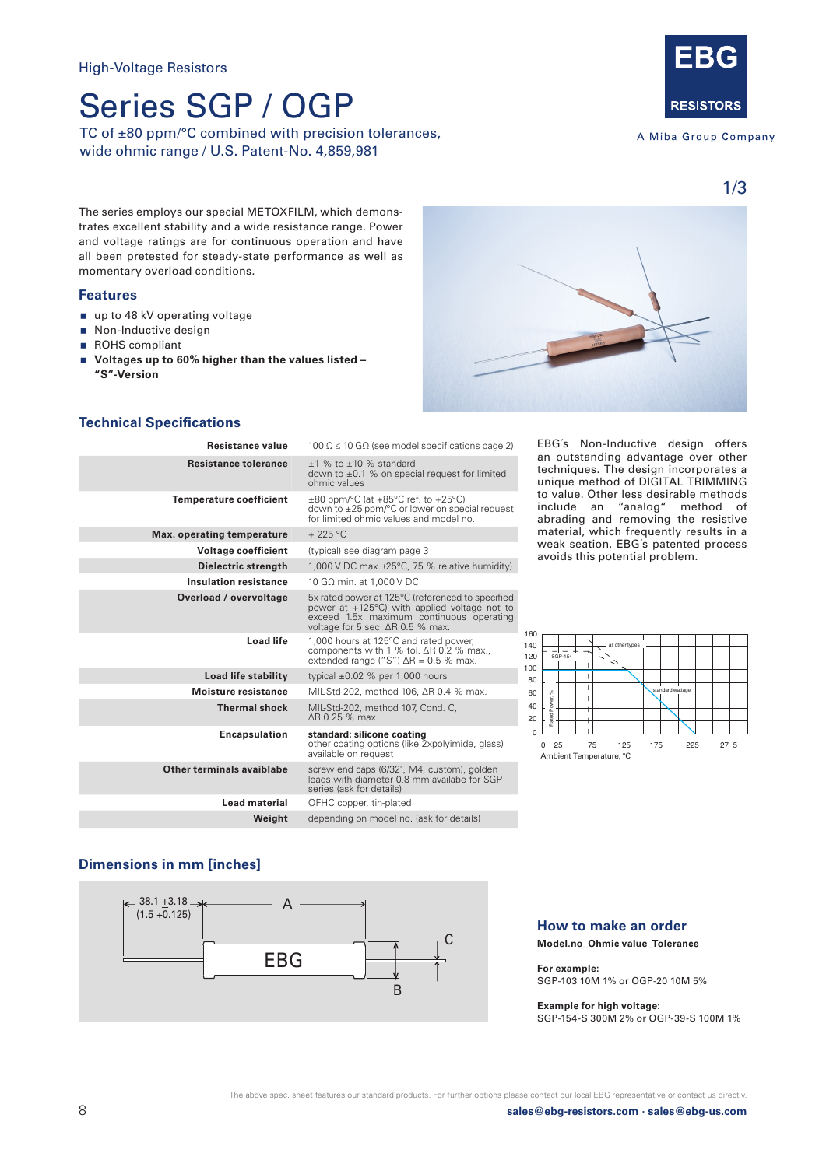# Series SGP / OGP

TC of ±80 ppm/°C combined with precision tolerances, wide ohmic range / U.S. Patent-No. 4,859,981



A Miba Group Company

1/3

The series employs our special METOXFILM, which demonstrates excellent stability and a wide resistance range. Power and voltage ratings are for continuous operation and have all been pretested for steady-state performance as well as momentary overload conditions.

#### **Features**

- up to 48 kV operating voltage
- Non-Inductive design
- ROHS compliant
- Voltages up to 60% higher than the values listed -**"S"-Version**



### **Technical Specifications**

| Resistance value               | 100 $\Omega \le 10$ G $\Omega$ (see model specifications page 2)                                                                                                                           |
|--------------------------------|--------------------------------------------------------------------------------------------------------------------------------------------------------------------------------------------|
| <b>Resistance tolerance</b>    | $+1$ % to $+10$ % standard<br>down to $\pm 0.1$ % on special request for limited<br>ohmic values                                                                                           |
| <b>Temperature coefficient</b> | $\pm 80$ ppm/°C (at $+85$ °C ref. to $+25$ °C)<br>down to $\pm 25$ ppm/ $\degree$ C or lower on special request<br>for limited ohmic values and model no.                                  |
| Max. operating temperature     | $+225$ °C                                                                                                                                                                                  |
| <b>Voltage coefficient</b>     | (typical) see diagram page 3                                                                                                                                                               |
| Dielectric strength            | 1,000 V DC max. (25°C, 75 % relative humidity)                                                                                                                                             |
| <b>Insulation resistance</b>   | 10 GΩ min. at 1,000 V DC                                                                                                                                                                   |
| Overload / overvoltage         | 5x rated power at 125°C (referenced to specified<br>power at $+125^{\circ}$ C) with applied voltage not to<br>exceed 1.5x maximum continuous operating<br>voltage for 5 sec. ΔR 0.5 % max. |
| <b>Load life</b>               | 1,000 hours at 125°C and rated power,<br>components with 1 % tol. ∆R 0.2 % max.,<br>extended range ("S") $\Delta$ R = 0.5 % max.                                                           |
| Load life stability            | typical $\pm 0.02$ % per 1,000 hours                                                                                                                                                       |
| <b>Moisture resistance</b>     | MIL-Std-202, method 106, ΔR 0.4 % max.                                                                                                                                                     |
| <b>Thermal shock</b>           | MIL-Std-202, method 107, Cond. C,<br>AR 0.25 % max.                                                                                                                                        |
| <b>Encapsulation</b>           | standard: silicone coating<br>other coating options (like 2xpolyimide, glass)<br>available on request                                                                                      |
| Other terminals avaiblabe      | screw end caps (6/32", M4, custom), golden<br>leads with diameter 0,8 mm availabe for SGP<br>series (ask for details)                                                                      |
| Lead material                  | OFHC copper, tin-plated                                                                                                                                                                    |
| Weight                         | depending on model no. (ask for details)                                                                                                                                                   |
|                                |                                                                                                                                                                                            |

EBG´s Non-Inductive design offers an outstanding advantage over other techniques. The design incorporates a unique method of DIGITAL TRIMMING to value. Other less desirable methods include an "analog" method of abrading and removing the resistive material, which frequently results in a weak seation. EBG´s patented process avoids this potential problem.



#### **Dimensions in mm [inches]**



### **How to make an order**

**Model.no\_Ohmic value\_Tolerance** 

**For example:**  SGP-103 10M 1% or OGP-20 10M 5%

#### **Example for high voltage:**

SGP-154-S 300M 2% or OGP-39-S 100M 1%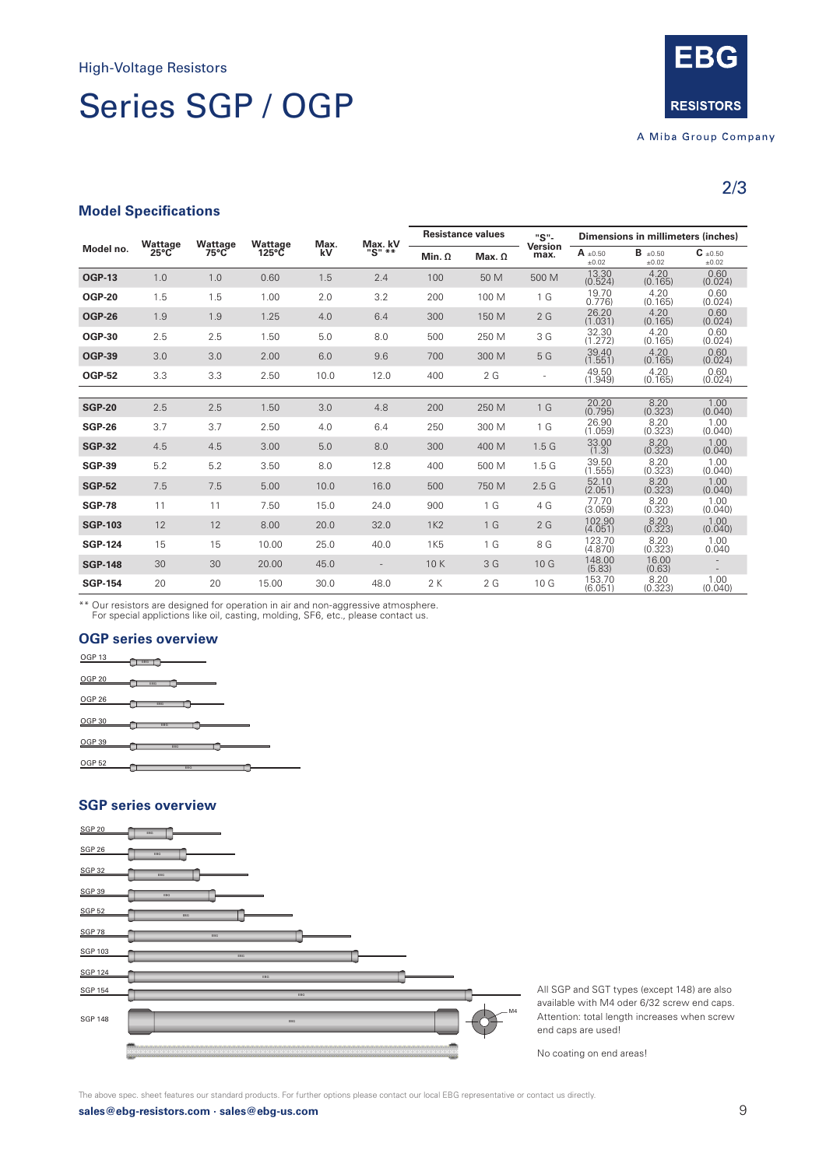# Series SGP / OGP



2/3

#### **Model Specifications**

|                | Wattage        | Wattage<br>$75^{\circ}$ C | Wattage<br>$125^{\circ}$ C | Max.<br>kV | Max.kV | <b>Resistance values</b> |               | "S"-                     | Dimensions in millimeters (inches) |                            |                            |
|----------------|----------------|---------------------------|----------------------------|------------|--------|--------------------------|---------------|--------------------------|------------------------------------|----------------------------|----------------------------|
| Model no.      | $25^{\circ}$ C |                           |                            |            |        | Min. $\Omega$            | Max. $\Omega$ | Version<br>max.          | $A \pm 0.50$<br>$\pm 0.02$         | $B \pm 0.50$<br>$\pm 0.02$ | $C \pm 0.50$<br>$\pm 0.02$ |
| <b>OGP-13</b>  | 1.0            | 1.0                       | 0.60                       | 1.5        | 2.4    | 100                      | 50 M          | 500 M                    | 13.30<br>(0.524)                   | 4.20<br>(0.165)            | 0.60<br>(0.024)            |
| <b>OGP-20</b>  | 1.5            | 1.5                       | 1.00                       | 2.0        | 3.2    | 200                      | 100 M         | 1 <sub>G</sub>           | 19.70<br>0.776                     | 4.20<br>(0.165)            | 0.60<br>(0.024)            |
| <b>OGP-26</b>  | 1.9            | 1.9                       | 1.25                       | 4.0        | 6.4    | 300                      | 150 M         | 2G                       | 26.20<br>(1.031)                   | 4.20<br>(0.165)            | 0.60<br>(0.024)            |
| <b>OGP-30</b>  | 2.5            | 2.5                       | 1.50                       | 5.0        | 8.0    | 500                      | 250 M         | 3 G                      | 32.30<br>(1.272)                   | 4.20<br>(0.165)            | 0.60<br>(0.024)            |
| <b>OGP-39</b>  | 3.0            | 3.0                       | 2.00                       | 6.0        | 9.6    | 700                      | 300 M         | 5 G                      | 39.40<br>(1.551)                   | 4.20<br>(0.165)            | 0.60<br>(0.024)            |
| <b>OGP-52</b>  | 3.3            | 3.3                       | 2.50                       | 10.0       | 12.0   | 400                      | 2G            | $\overline{\phantom{a}}$ | 49.50<br>(1.949)                   | 4.20<br>(0.165)            | 0.60<br>(0.024)            |
|                |                |                           |                            |            |        |                          |               |                          |                                    |                            |                            |
| <b>SGP-20</b>  | 2.5            | 2.5                       | 1.50                       | 3.0        | 4.8    | 200                      | 250 M         | 1 G                      | 20.20<br>(0.795)                   | 8.20<br>(0.323)            | 1.00<br>(0.040)            |
| <b>SGP-26</b>  | 3.7            | 3.7                       | 2.50                       | 4.0        | 6.4    | 250                      | 300 M         | 1 <sub>G</sub>           | 26.90<br>(1.059)                   | 8.20<br>(0.323)            | 1.00<br>(0.040)            |
| <b>SGP-32</b>  | 4.5            | 4.5                       | 3.00                       | 5.0        | 8.0    | 300                      | 400 M         | 1.5 <sub>G</sub>         | 33.00<br>(1.3)                     | 8.20<br>(0.323)            | 1.00<br>(0.040)            |
| <b>SGP-39</b>  | 5.2            | 5.2                       | 3.50                       | 8.0        | 12.8   | 400                      | 500 M         | 1.5 <sub>G</sub>         | 39.50<br>(1.555)                   | 8.20<br>(0.323)            | 1.00<br>(0.040)            |
| <b>SGP-52</b>  | 7.5            | 7.5                       | 5.00                       | 10.0       | 16.0   | 500                      | 750 M         | 2.5G                     | 52.10<br>(2.051)                   | 8.20<br>(0.323)            | 1.00<br>(0.040)            |
| <b>SGP-78</b>  | 11             | 11                        | 7.50                       | 15.0       | 24.0   | 900                      | 1 G           | 4 G                      | 77.70<br>(3.059)                   | 8.20<br>(0.323)            | 1.00<br>(0.040)            |
| <b>SGP-103</b> | 12             | 12                        | 8.00                       | 20.0       | 32.0   | <b>1K2</b>               | 1 G           | 2G                       | 102.90<br>(4.051)                  | 8.20<br>(0.323)            | 1.00<br>(0.040)            |
| <b>SGP-124</b> | 15             | 15                        | 10.00                      | 25.0       | 40.0   | <b>1K5</b>               | 1 G           | 8 G                      | 123.70<br>(4.870)                  | 8.20<br>(0.323)            | 1.00<br>0.040              |
| <b>SGP-148</b> | 30             | 30                        | 20.00                      | 45.0       |        | 10K                      | 3 G           | 10 G                     | 148.00<br>(5.83)                   | 16.00<br>(0.63)            | $\overline{\phantom{a}}$   |
| <b>SGP-154</b> | 20             | 20                        | 15.00                      | 30.0       | 48.0   | 2 K                      | 2G            | 10 G                     | 153.70<br>(6.051)                  | 8.20<br>(0.323)            | 1.00<br>(0.040)            |

\*\* Our resistors are designed for operation in air and non-aggressive atmosphere. For special applictions like oil, casting, molding, SF6, etc., please contact us.

### **OGP series overview**



## EBG SGP 20 EBG OGP 52 **SGP series overview**



All SGP and SGT types (except 148) are also available with M4 oder 6/32 screw end caps. Attention: total length increases when screw end caps are used!

No coating on end areas!